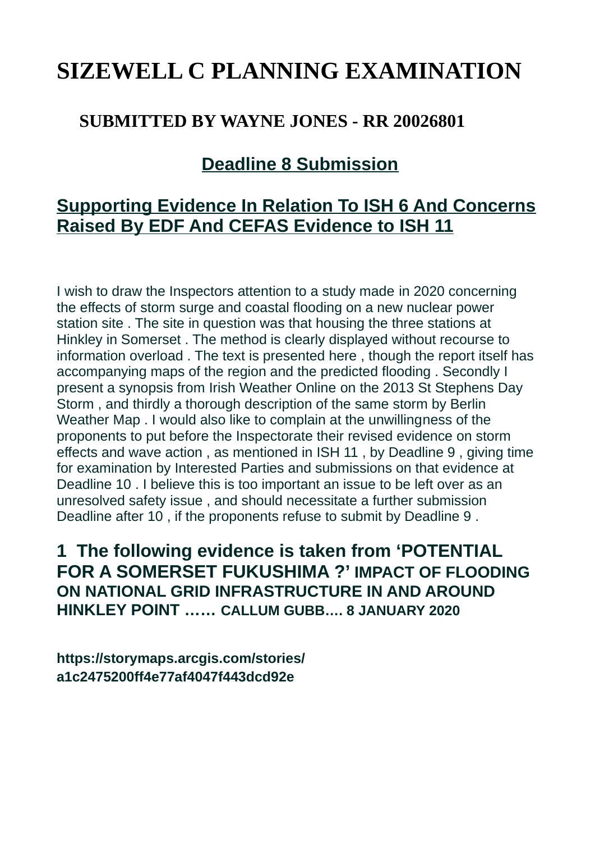# **SIZEWELL C PLANNING EXAMINATION**

### **SUBMITTED BY WAYNE JONES - RR 20026801**

## **Deadline 8 Submission**

## **Supporting Evidence In Relation To ISH 6 And Concerns Raised By EDF And CEFAS Evidence to ISH 11**

I wish to draw the Inspectors attention to a study made in 2020 concerning the effects of storm surge and coastal flooding on a new nuclear power station site . The site in question was that housing the three stations at Hinkley in Somerset . The method is clearly displayed without recourse to information overload . The text is presented here , though the report itself has accompanying maps of the region and the predicted flooding . Secondly I present a synopsis from Irish Weather Online on the 2013 St Stephens Day Storm , and thirdly a thorough description of the same storm by Berlin Weather Map . I would also like to complain at the unwillingness of the proponents to put before the Inspectorate their revised evidence on storm effects and wave action , as mentioned in ISH 11 , by Deadline 9 , giving time for examination by Interested Parties and submissions on that evidence at Deadline 10 . I believe this is too important an issue to be left over as an unresolved safety issue , and should necessitate a further submission Deadline after 10 , if the proponents refuse to submit by Deadline 9 .

**1 The following evidence is taken from 'POTENTIAL FOR A SOMERSET FUKUSHIMA ?' IMPACT OF FLOODING ON NATIONAL GRID INFRASTRUCTURE IN AND AROUND HINKLEY POINT …… CALLUM GUBB…. 8 JANUARY 2020**

**https://storymaps.arcgis.com/stories/ a1c2475200ff4e77af4047f443dcd92e**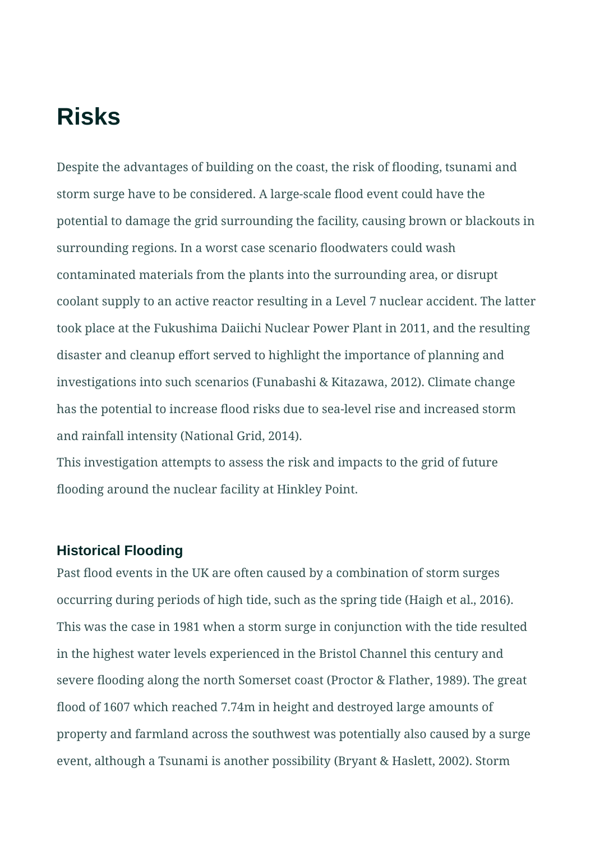# **Risks**

Despite the advantages of building on the coast, the risk of flooding, tsunami and storm surge have to be considered. A large-scale flood event could have the potential to damage the grid surrounding the facility, causing brown or blackouts in surrounding regions. In a worst case scenario floodwaters could wash contaminated materials from the plants into the surrounding area, or disrupt coolant supply to an active reactor resulting in a Level 7 nuclear accident. The latter took place at the Fukushima Daiichi Nuclear Power Plant in 2011, and the resulting disaster and cleanup effort served to highlight the importance of planning and investigations into such scenarios (Funabashi & Kitazawa, 2012). Climate change has the potential to increase flood risks due to sea-level rise and increased storm and rainfall intensity (National Grid, 2014).

This investigation attempts to assess the risk and impacts to the grid of future flooding around the nuclear facility at Hinkley Point.

#### **Historical Flooding**

Past flood events in the UK are often caused by a combination of storm surges occurring during periods of high tide, such as the spring tide (Haigh et al., 2016). This was the case in 1981 when a storm surge in conjunction with the tide resulted in the highest water levels experienced in the Bristol Channel this century and severe flooding along the north Somerset coast (Proctor & Flather, 1989). The great flood of 1607 which reached 7.74m in height and destroyed large amounts of property and farmland across the southwest was potentially also caused by a surge event, although a Tsunami is another possibility (Bryant & Haslett, 2002). Storm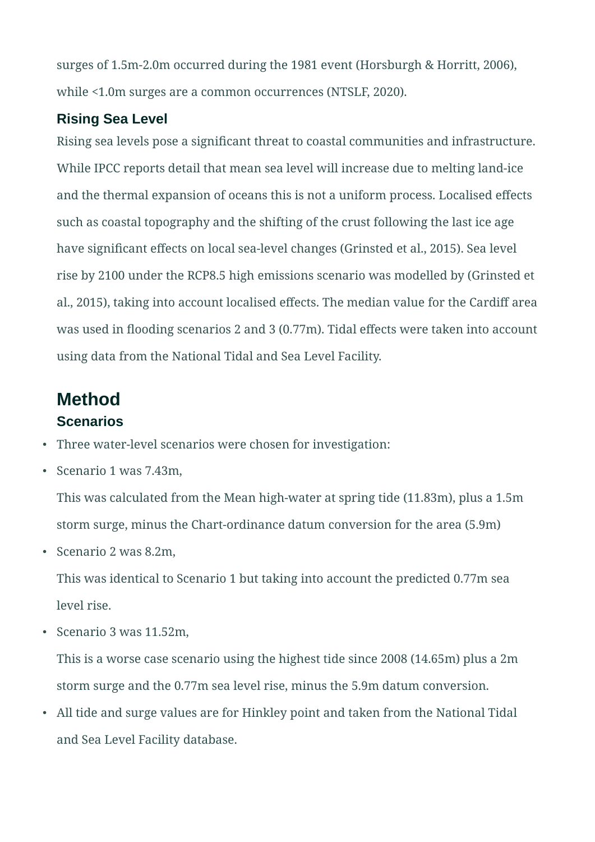surges of 1.5m-2.0m occurred during the 1981 event (Horsburgh & Horritt, 2006), while <1.0m surges are a common occurrences (NTSLF, 2020).

#### **Rising Sea Level**

Rising sea levels pose a significant threat to coastal communities and infrastructure. While IPCC reports detail that mean sea level will increase due to melting land-ice and the thermal expansion of oceans this is not a uniform process. Localised effects such as coastal topography and the shifting of the crust following the last ice age have significant effects on local sea-level changes (Grinsted et al., 2015). Sea level rise by 2100 under the RCP8.5 high emissions scenario was modelled by (Grinsted et al., 2015), taking into account localised effects. The median value for the Cardiff area was used in flooding scenarios 2 and 3 (0.77m). Tidal effects were taken into account using data from the National Tidal and Sea Level Facility.

## **Method**

#### **Scenarios**

- Three water-level scenarios were chosen for investigation:
- Scenario 1 was 7.43m,

This was calculated from the Mean high-water at spring tide (11.83m), plus a 1.5m storm surge, minus the Chart-ordinance datum conversion for the area (5.9m)

• Scenario 2 was 8.2m,

This was identical to Scenario 1 but taking into account the predicted 0.77m sea level rise.

• Scenario 3 was 11.52m,

This is a worse case scenario using the highest tide since 2008 (14.65m) plus a 2m storm surge and the 0.77m sea level rise, minus the 5.9m datum conversion.

• All tide and surge values are for Hinkley point and taken from the National Tidal and Sea Level Facility database.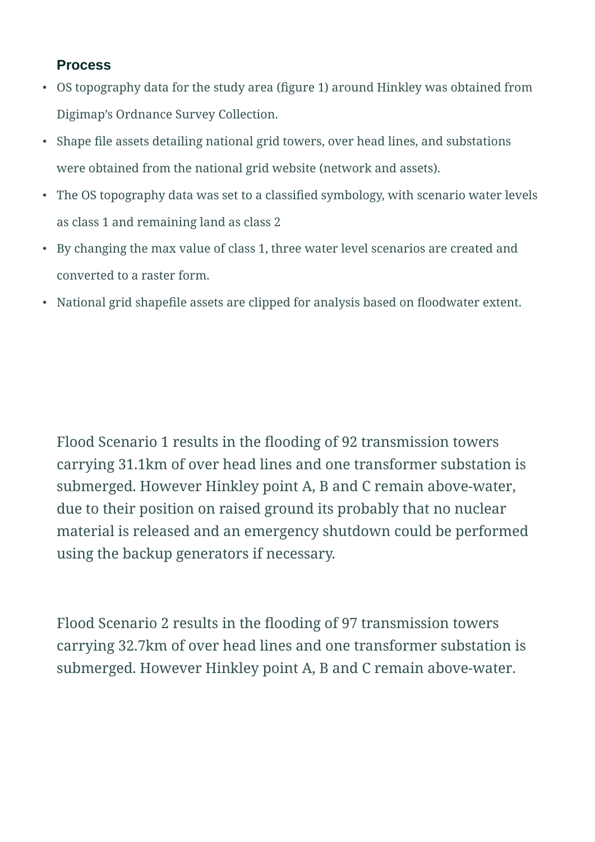#### **Process**

- OS topography data for the study area (figure 1) around Hinkley was obtained from Digimap's Ordnance Survey Collection.
- Shape file assets detailing national grid towers, over head lines, and substations were obtained from the national grid website (network and assets).
- The OS topography data was set to a classified symbology, with scenario water levels as class 1 and remaining land as class 2
- By changing the max value of class 1, three water level scenarios are created and converted to a raster form.
- National grid shapefile assets are clipped for analysis based on floodwater extent.

Flood Scenario 1 results in the flooding of 92 transmission towers carrying 31.1km of over head lines and one transformer substation is submerged. However Hinkley point A, B and C remain above-water, due to their position on raised ground its probably that no nuclear material is released and an emergency shutdown could be performed using the backup generators if necessary.

Flood Scenario 2 results in the flooding of 97 transmission towers carrying 32.7km of over head lines and one transformer substation is submerged. However Hinkley point A, B and C remain above-water.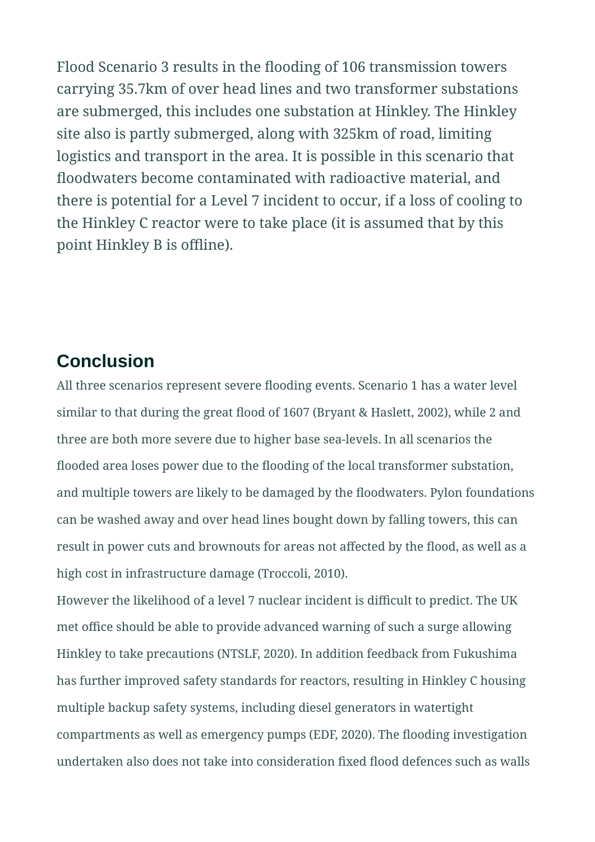Flood Scenario 3 results in the flooding of 106 transmission towers carrying 35.7km of over head lines and two transformer substations are submerged, this includes one substation at Hinkley. The Hinkley site also is partly submerged, along with 325km of road, limiting logistics and transport in the area. It is possible in this scenario that floodwaters become contaminated with radioactive material, and there is potential for a Level 7 incident to occur, if a loss of cooling to the Hinkley C reactor were to take place (it is assumed that by this point Hinkley B is offline).

### **Conclusion**

All three scenarios represent severe flooding events. Scenario 1 has a water level similar to that during the great flood of 1607 (Bryant & Haslett, 2002), while 2 and three are both more severe due to higher base sea-levels. In all scenarios the flooded area loses power due to the flooding of the local transformer substation, and multiple towers are likely to be damaged by the floodwaters. Pylon foundations can be washed away and over head lines bought down by falling towers, this can result in power cuts and brownouts for areas not affected by the flood, as well as a high cost in infrastructure damage (Troccoli, 2010).

However the likelihood of a level 7 nuclear incident is difficult to predict. The UK met office should be able to provide advanced warning of such a surge allowing Hinkley to take precautions (NTSLF, 2020). In addition feedback from Fukushima has further improved safety standards for reactors, resulting in Hinkley C housing multiple backup safety systems, including diesel generators in watertight compartments as well as emergency pumps (EDF, 2020). The flooding investigation undertaken also does not take into consideration fixed flood defences such as walls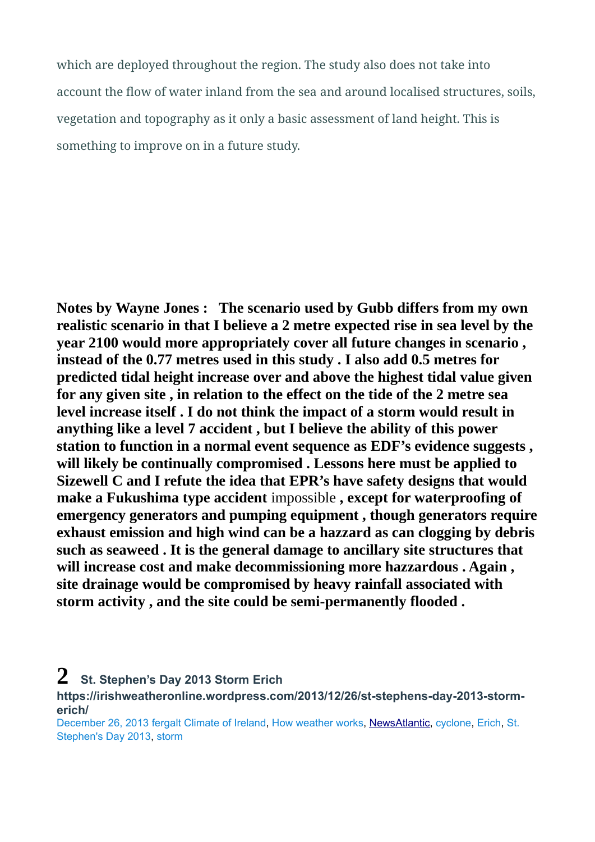which are deployed throughout the region. The study also does not take into account the flow of water inland from the sea and around localised structures, soils, vegetation and topography as it only a basic assessment of land height. This is something to improve on in a future study.

**Notes by Wayne Jones : The scenario used by Gubb differs from my own realistic scenario in that I believe a 2 metre expected rise in sea level by the year 2100 would more appropriately cover all future changes in scenario , instead of the 0.77 metres used in this study . I also add 0.5 metres for predicted tidal height increase over and above the highest tidal value given for any given site , in relation to the effect on the tide of the 2 metre sea level increase itself . I do not think the impact of a storm would result in anything like a level 7 accident , but I believe the ability of this power station to function in a normal event sequence as EDF's evidence suggests , will likely be continually compromised . Lessons here must be applied to Sizewell C and I refute the idea that EPR's have safety designs that would make a Fukushima type accident** impossible **, except for waterproofing of emergency generators and pumping equipment , though generators require exhaust emission and high wind can be a hazzard as can clogging by debris such as seaweed . It is the general damage to ancillary site structures that will increase cost and make decommissioning more hazzardous . Again , site drainage would be compromised by heavy rainfall associated with storm activity , and the site could be semi-permanently flooded .**

**2 St. Stephen's Day 2013 Storm Erich** 

**https://irishweatheronline.wordpress.com/2013/12/26/st-stephens-day-2013-stormerich/**

[December 26, 2013](https://irishweatheronline.wordpress.com/2013/12/26/st-stephens-day-2013-storm-erich/) [fergalt](https://irishweatheronline.wordpress.com/author/fergalt/) [Climate of Ireland](https://irishweatheronline.wordpress.com/category/climate-of-ireland/), [How weather works,](https://irishweatheronline.wordpress.com/category/how-weather-works/) [News](https://irishweatheronline.wordpress.com/category/news/) [Atlantic](https://irishweatheronline.wordpress.com/tag/atlantic/), [cyclone,](https://irishweatheronline.wordpress.com/tag/cyclone/) [Erich](https://irishweatheronline.wordpress.com/tag/erich/), [St.](https://irishweatheronline.wordpress.com/tag/st-stephens-day-2013/)  [Stephen's Day 2013](https://irishweatheronline.wordpress.com/tag/st-stephens-day-2013/), [storm](https://irishweatheronline.wordpress.com/tag/storm/)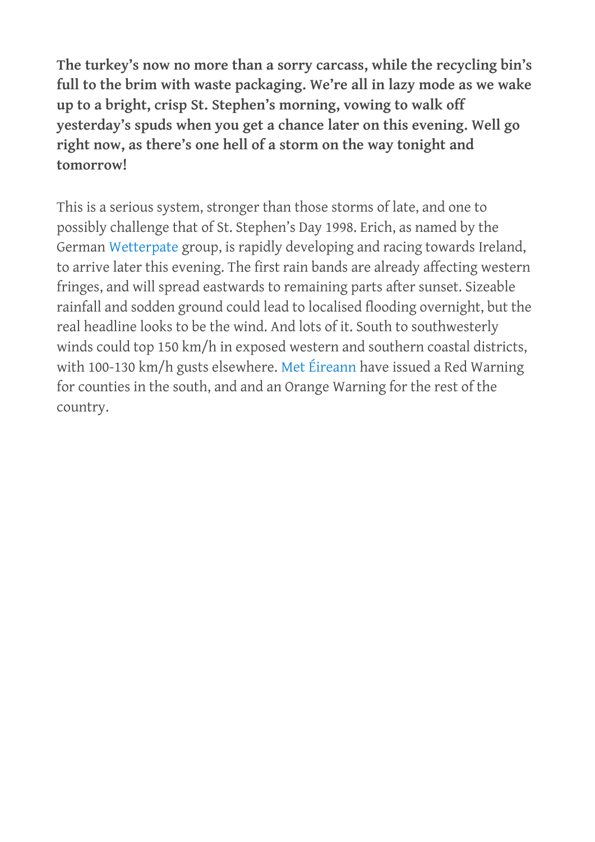**The turkey's now no more than a sorry carcass, while the recycling bin's full to the brim with waste packaging. We're all in lazy mode as we wake up to a bright, crisp St. Stephen's morning, vowing to walk off yesterday's spuds when you get a chance later on this evening. Well go right now, as there's one hell of a storm on the way tonight and tomorrow!**

This is a serious system, stronger than those storms of late, and one to possibly challenge that of St. Stephen's Day 1998. Erich, as named by the German [Wetterpate](http://www.met.fu-berlin.de/adopt-a-vortex/tief2014/) group, is rapidly developing and racing towards Ireland, to arrive later this evening. The first rain bands are already affecting western fringes, and will spread eastwards to remaining parts after sunset. Sizeable rainfall and sodden ground could lead to localised flooding overnight, but the real headline looks to be the wind. And lots of it. South to southwesterly winds could top 150 km/h in exposed western and southern coastal districts, with 100-130 km/h gusts elsewhere. [Met Éireann](http://www.met.ie/nationalwarnings/default.asp) have issued a Red Warning for counties in the south, and and an Orange Warning for the rest of the country.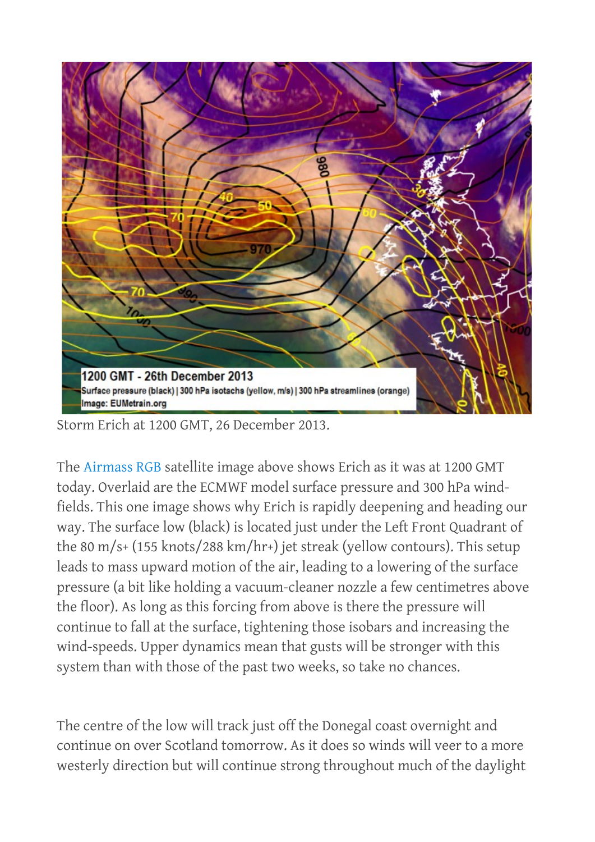

Storm Erich at 1200 GMT, 26 December 2013.

The [Airmass RGB](http://oiswww.eumetsat.org/IPPS/html/MSG/RGB/AIRMASS/WESTERNEUROPE/index.htm) satellite image above shows Erich as it was at 1200 GMT today. Overlaid are the ECMWF model surface pressure and 300 hPa windfields. This one image shows why Erich is rapidly deepening and heading our way. The surface low (black) is located just under the Left Front Quadrant of the 80 m/s+ (155 knots/288 km/hr+) jet streak (yellow contours). This setup leads to mass upward motion of the air, leading to a lowering of the surface pressure (a bit like holding a vacuum-cleaner nozzle a few centimetres above the floor). As long as this forcing from above is there the pressure will continue to fall at the surface, tightening those isobars and increasing the wind-speeds. Upper dynamics mean that gusts will be stronger with this system than with those of the past two weeks, so take no chances.

The centre of the low will track just off the Donegal coast overnight and continue on over Scotland tomorrow. As it does so winds will veer to a more westerly direction but will continue strong throughout much of the daylight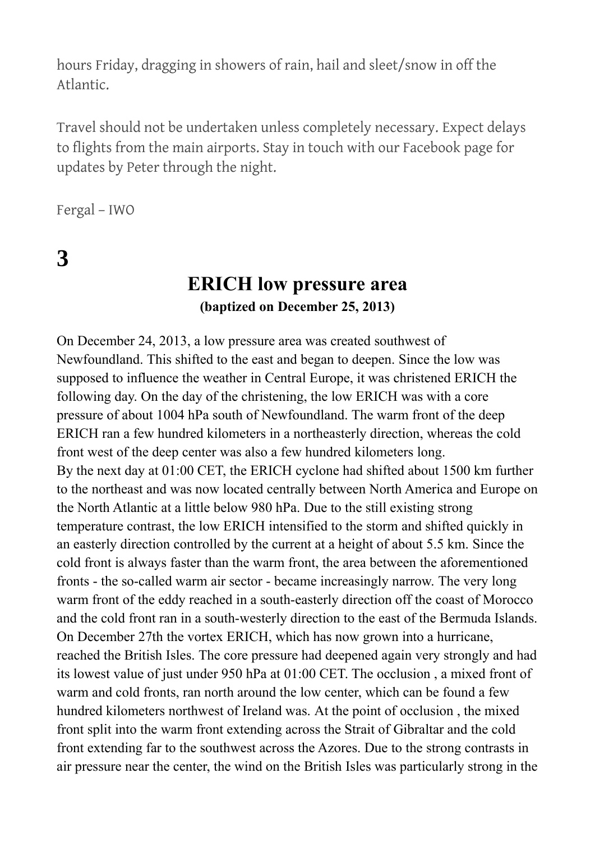hours Friday, dragging in showers of rain, hail and sleet/snow in off the Atlantic.

Travel should not be undertaken unless completely necessary. Expect delays to flights from the main airports. Stay in touch with our Facebook page for updates by Peter through the night.

Fergal – IWO

**3**

## **ERICH low pressure area (baptized on December 25, 2013)**

On December 24, 2013, a low pressure area was created southwest of Newfoundland. This shifted to the east and began to deepen. Since the low was supposed to influence the weather in Central Europe, it was christened ERICH the following day. On the day of the christening, the low ERICH was with a core pressure of about 1004 hPa south of Newfoundland. The warm front of the deep ERICH ran a few hundred kilometers in a northeasterly direction, whereas the cold front west of the deep center was also a few hundred kilometers long. By the next day at 01:00 CET, the ERICH cyclone had shifted about 1500 km further to the northeast and was now located centrally between North America and Europe on the North Atlantic at a little below 980 hPa. Due to the still existing strong temperature contrast, the low ERICH intensified to the storm and shifted quickly in an easterly direction controlled by the current at a height of about 5.5 km. Since the cold front is always faster than the warm front, the area between the aforementioned fronts - the so-called warm air sector - became increasingly narrow. The very long warm front of the eddy reached in a south-easterly direction off the coast of Morocco and the cold front ran in a south-westerly direction to the east of the Bermuda Islands. On December 27th the vortex ERICH, which has now grown into a hurricane, reached the British Isles. The core pressure had deepened again very strongly and had its lowest value of just under 950 hPa at 01:00 CET. The occlusion , a mixed front of warm and cold fronts, ran north around the low center, which can be found a few hundred kilometers northwest of Ireland was. At the point of occlusion , the mixed front split into the warm front extending across the Strait of Gibraltar and the cold front extending far to the southwest across the Azores. Due to the strong contrasts in air pressure near the center, the wind on the British Isles was particularly strong in the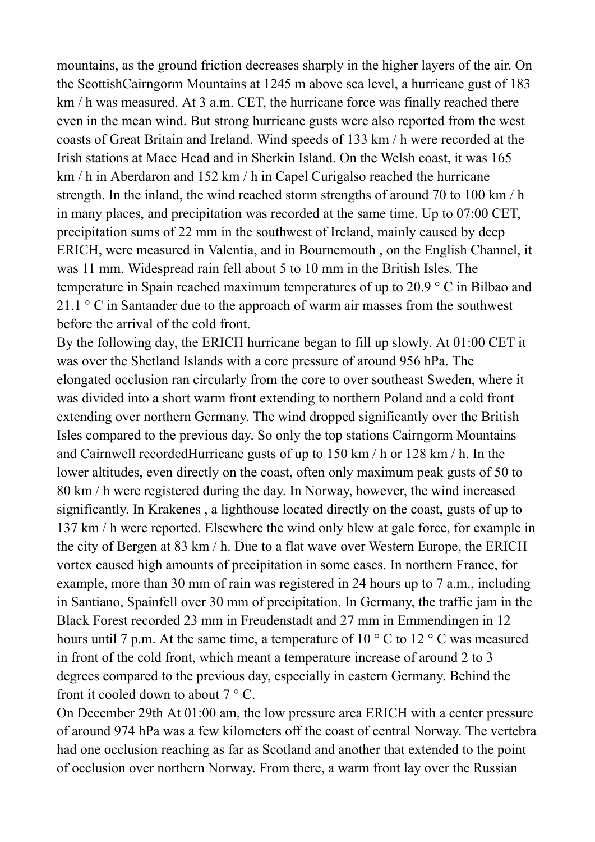mountains, as the ground friction decreases sharply in the higher layers of the air. On the ScottishCairngorm Mountains at 1245 m above sea level, a hurricane gust of 183 km / h was measured. At 3 a.m. CET, the hurricane force was finally reached there even in the mean wind. But strong hurricane gusts were also reported from the west coasts of Great Britain and Ireland. Wind speeds of 133 km / h were recorded at the Irish stations at Mace Head and in Sherkin Island. On the Welsh coast, it was 165 km / h in Aberdaron and 152 km / h in Capel Curigalso reached the hurricane strength. In the inland, the wind reached storm strengths of around 70 to 100 km / h in many places, and precipitation was recorded at the same time. Up to 07:00 CET, precipitation sums of 22 mm in the southwest of Ireland, mainly caused by deep ERICH, were measured in Valentia, and in Bournemouth , on the English Channel, it was 11 mm. Widespread rain fell about 5 to 10 mm in the British Isles. The temperature in Spain reached maximum temperatures of up to 20.9 ° C in Bilbao and 21.1  $\degree$  C in Santander due to the approach of warm air masses from the southwest before the arrival of the cold front.

By the following day, the ERICH hurricane began to fill up slowly. At 01:00 CET it was over the Shetland Islands with a core pressure of around 956 hPa. The elongated occlusion ran circularly from the core to over southeast Sweden, where it was divided into a short warm front extending to northern Poland and a cold front extending over northern Germany. The wind dropped significantly over the British Isles compared to the previous day. So only the top stations Cairngorm Mountains and Cairnwell recordedHurricane gusts of up to 150 km / h or 128 km / h. In the lower altitudes, even directly on the coast, often only maximum peak gusts of 50 to 80 km / h were registered during the day. In Norway, however, the wind increased significantly. In Krakenes , a lighthouse located directly on the coast, gusts of up to 137 km / h were reported. Elsewhere the wind only blew at gale force, for example in the city of Bergen at 83 km / h. Due to a flat wave over Western Europe, the ERICH vortex caused high amounts of precipitation in some cases. In northern France, for example, more than 30 mm of rain was registered in 24 hours up to 7 a.m., including in Santiano, Spainfell over 30 mm of precipitation. In Germany, the traffic jam in the Black Forest recorded 23 mm in Freudenstadt and 27 mm in Emmendingen in 12 hours until 7 p.m. At the same time, a temperature of  $10^{\circ}$  C to  $12^{\circ}$  C was measured in front of the cold front, which meant a temperature increase of around 2 to 3 degrees compared to the previous day, especially in eastern Germany. Behind the front it cooled down to about  $7 \degree$  C.

On December 29th At 01:00 am, the low pressure area ERICH with a center pressure of around 974 hPa was a few kilometers off the coast of central Norway. The vertebra had one occlusion reaching as far as Scotland and another that extended to the point of occlusion over northern Norway. From there, a warm front lay over the Russian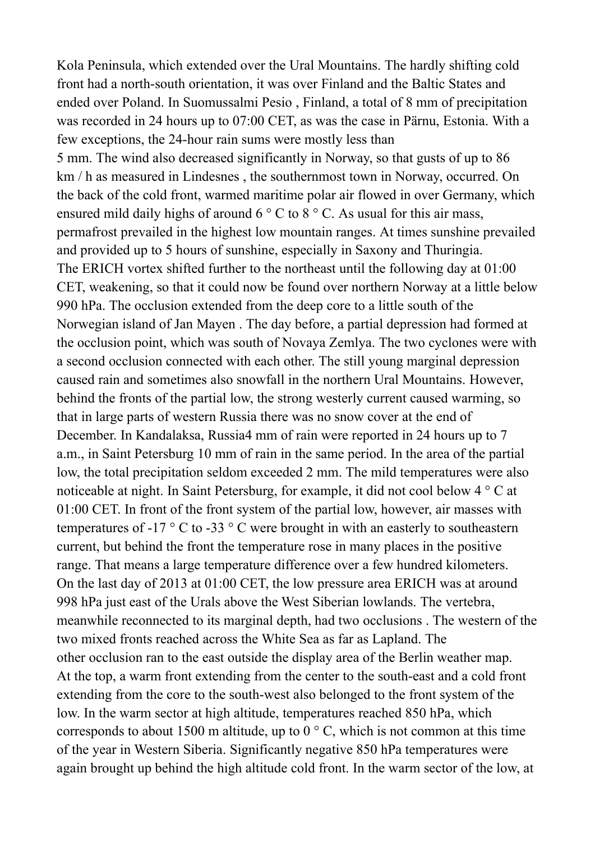Kola Peninsula, which extended over the Ural Mountains. The hardly shifting cold front had a north-south orientation, it was over Finland and the Baltic States and ended over Poland. In Suomussalmi Pesio , Finland, a total of 8 mm of precipitation was recorded in 24 hours up to 07:00 CET, as was the case in Pärnu, Estonia. With a few exceptions, the 24-hour rain sums were mostly less than 5 mm. The wind also decreased significantly in Norway, so that gusts of up to 86 km / h as measured in Lindesnes , the southernmost town in Norway, occurred. On the back of the cold front, warmed maritime polar air flowed in over Germany, which ensured mild daily highs of around  $6^\circ$  C to  $8^\circ$  C. As usual for this air mass, permafrost prevailed in the highest low mountain ranges. At times sunshine prevailed and provided up to 5 hours of sunshine, especially in Saxony and Thuringia. The ERICH vortex shifted further to the northeast until the following day at 01:00 CET, weakening, so that it could now be found over northern Norway at a little below 990 hPa. The occlusion extended from the deep core to a little south of the Norwegian island of Jan Mayen . The day before, a partial depression had formed at the occlusion point, which was south of Novaya Zemlya. The two cyclones were with a second occlusion connected with each other. The still young marginal depression caused rain and sometimes also snowfall in the northern Ural Mountains. However, behind the fronts of the partial low, the strong westerly current caused warming, so that in large parts of western Russia there was no snow cover at the end of December. In Kandalaksa, Russia4 mm of rain were reported in 24 hours up to 7 a.m., in Saint Petersburg 10 mm of rain in the same period. In the area of the partial low, the total precipitation seldom exceeded 2 mm. The mild temperatures were also noticeable at night. In Saint Petersburg, for example, it did not cool below 4 ° C at 01:00 CET. In front of the front system of the partial low, however, air masses with temperatures of -17  $\degree$  C to -33  $\degree$  C were brought in with an easterly to southeastern current, but behind the front the temperature rose in many places in the positive range. That means a large temperature difference over a few hundred kilometers. On the last day of 2013 at 01:00 CET, the low pressure area ERICH was at around 998 hPa just east of the Urals above the West Siberian lowlands. The vertebra, meanwhile reconnected to its marginal depth, had two occlusions . The western of the two mixed fronts reached across the White Sea as far as Lapland. The other occlusion ran to the east outside the display area of the Berlin weather map. At the top, a warm front extending from the center to the south-east and a cold front extending from the core to the south-west also belonged to the front system of the low. In the warm sector at high altitude, temperatures reached 850 hPa, which corresponds to about 1500 m altitude, up to  $0^{\circ}$  C, which is not common at this time of the year in Western Siberia. Significantly negative 850 hPa temperatures were again brought up behind the high altitude cold front. In the warm sector of the low, at